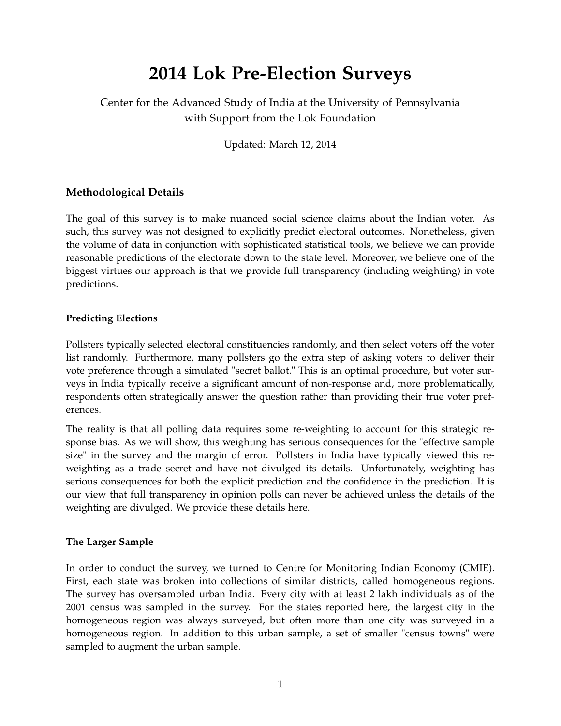# **2014 Lok Pre-Election Surveys**

Center for the Advanced Study of India at the University of Pennsylvania with Support from the Lok Foundation

Updated: March 12, 2014

### **Methodological Details**

The goal of this survey is to make nuanced social science claims about the Indian voter. As such, this survey was not designed to explicitly predict electoral outcomes. Nonetheless, given the volume of data in conjunction with sophisticated statistical tools, we believe we can provide reasonable predictions of the electorate down to the state level. Moreover, we believe one of the biggest virtues our approach is that we provide full transparency (including weighting) in vote predictions.

#### **Predicting Elections**

Pollsters typically selected electoral constituencies randomly, and then select voters off the voter list randomly. Furthermore, many pollsters go the extra step of asking voters to deliver their vote preference through a simulated "secret ballot." This is an optimal procedure, but voter surveys in India typically receive a significant amount of non-response and, more problematically, respondents often strategically answer the question rather than providing their true voter preferences.

The reality is that all polling data requires some re-weighting to account for this strategic response bias. As we will show, this weighting has serious consequences for the "effective sample size" in the survey and the margin of error. Pollsters in India have typically viewed this reweighting as a trade secret and have not divulged its details. Unfortunately, weighting has serious consequences for both the explicit prediction and the confidence in the prediction. It is our view that full transparency in opinion polls can never be achieved unless the details of the weighting are divulged. We provide these details here.

#### **The Larger Sample**

In order to conduct the survey, we turned to Centre for Monitoring Indian Economy (CMIE). First, each state was broken into collections of similar districts, called homogeneous regions. The survey has oversampled urban India. Every city with at least 2 lakh individuals as of the 2001 census was sampled in the survey. For the states reported here, the largest city in the homogeneous region was always surveyed, but often more than one city was surveyed in a homogeneous region. In addition to this urban sample, a set of smaller "census towns" were sampled to augment the urban sample.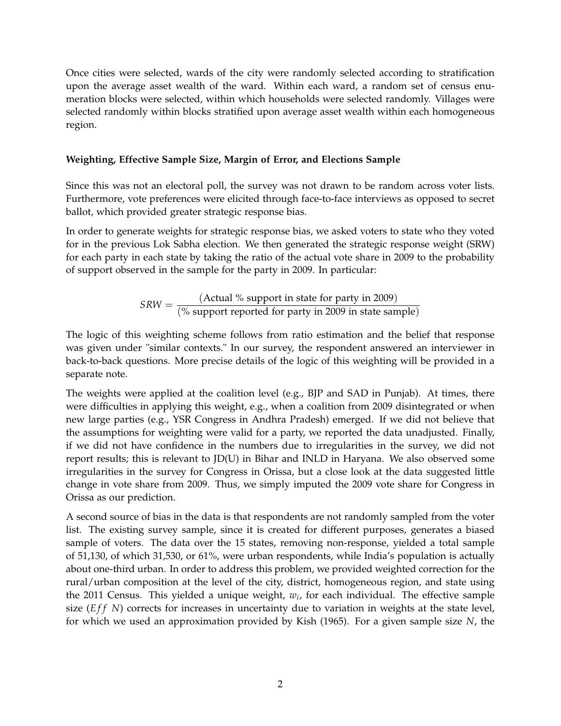Once cities were selected, wards of the city were randomly selected according to stratification upon the average asset wealth of the ward. Within each ward, a random set of census enumeration blocks were selected, within which households were selected randomly. Villages were selected randomly within blocks stratified upon average asset wealth within each homogeneous region.

#### **Weighting, Effective Sample Size, Margin of Error, and Elections Sample**

Since this was not an electoral poll, the survey was not drawn to be random across voter lists. Furthermore, vote preferences were elicited through face-to-face interviews as opposed to secret ballot, which provided greater strategic response bias.

In order to generate weights for strategic response bias, we asked voters to state who they voted for in the previous Lok Sabha election. We then generated the strategic response weight (SRW) for each party in each state by taking the ratio of the actual vote share in 2009 to the probability of support observed in the sample for the party in 2009. In particular:

> $SRW = \frac{(Actual % support in state for party in 2009)}{(W over the target for parts in 2000 in state for parts)}$ (% support reported for party in 2009 in state sample)

The logic of this weighting scheme follows from ratio estimation and the belief that response was given under "similar contexts." In our survey, the respondent answered an interviewer in back-to-back questions. More precise details of the logic of this weighting will be provided in a separate note.

The weights were applied at the coalition level (e.g., BJP and SAD in Punjab). At times, there were difficulties in applying this weight, e.g., when a coalition from 2009 disintegrated or when new large parties (e.g., YSR Congress in Andhra Pradesh) emerged. If we did not believe that the assumptions for weighting were valid for a party, we reported the data unadjusted. Finally, if we did not have confidence in the numbers due to irregularities in the survey, we did not report results; this is relevant to JD(U) in Bihar and INLD in Haryana. We also observed some irregularities in the survey for Congress in Orissa, but a close look at the data suggested little change in vote share from 2009. Thus, we simply imputed the 2009 vote share for Congress in Orissa as our prediction.

A second source of bias in the data is that respondents are not randomly sampled from the voter list. The existing survey sample, since it is created for different purposes, generates a biased sample of voters. The data over the 15 states, removing non-response, yielded a total sample of 51,130, of which 31,530, or 61%, were urban respondents, while India's population is actually about one-third urban. In order to address this problem, we provided weighted correction for the rural/urban composition at the level of the city, district, homogeneous region, and state using the 2011 Census. This yielded a unique weight, *w<sup>i</sup>* , for each individual. The effective sample size (*Eff N*) corrects for increases in uncertainty due to variation in weights at the state level, for which we used an approximation provided by Kish (1965). For a given sample size *N*, the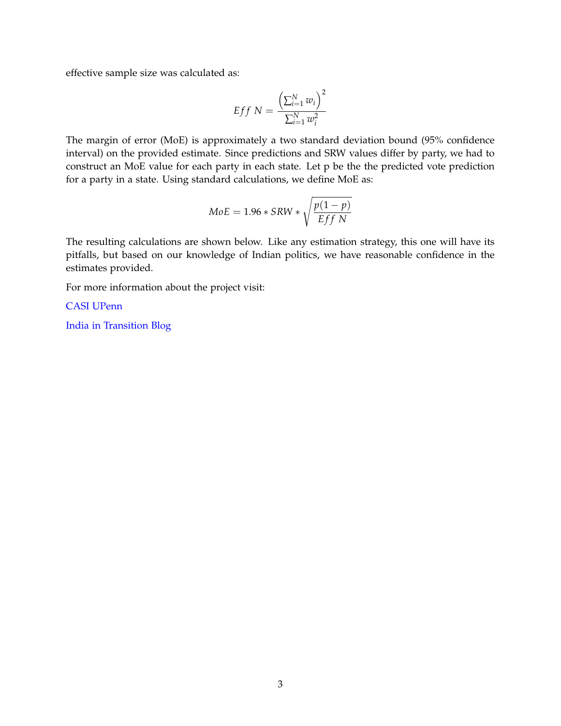effective sample size was calculated as:

$$
Eff N = \frac{\left(\sum_{i=1}^{N} w_i\right)^2}{\sum_{i=1}^{N} w_i^2}
$$

The margin of error (MoE) is approximately a two standard deviation bound (95% confidence interval) on the provided estimate. Since predictions and SRW values differ by party, we had to construct an MoE value for each party in each state. Let p be the the predicted vote prediction for a party in a state. Using standard calculations, we define MoE as:

$$
MoE = 1.96 * SRW * \sqrt{\frac{p(1-p)}{Eff N}}
$$

The resulting calculations are shown below. Like any estimation strategy, this one will have its pitfalls, but based on our knowledge of Indian politics, we have reasonable confidence in the estimates provided.

For more information about the project visit:

[CASI UPenn](http://casi.sas.upenn.edu)

[India in Transition Blog](http://indiaintransition.com)